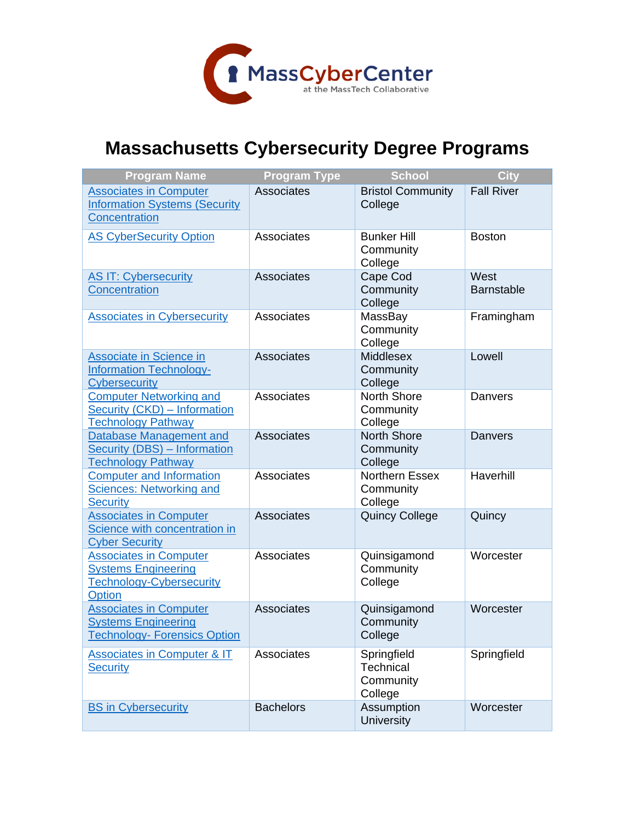

## **Massachusetts Cybersecurity Degree Programs**

| <b>Program Name</b>                                                                                | <b>Program Type</b> | <b>School</b>                                    | <b>City</b>               |
|----------------------------------------------------------------------------------------------------|---------------------|--------------------------------------------------|---------------------------|
| <b>Associates in Computer</b><br><b>Information Systems (Security</b><br><b>Concentration</b>      | Associates          | <b>Bristol Community</b><br>College              | <b>Fall River</b>         |
| <b>AS CyberSecurity Option</b>                                                                     | Associates          | <b>Bunker Hill</b><br>Community<br>College       | <b>Boston</b>             |
| <b>AS IT: Cybersecurity</b><br>Concentration                                                       | Associates          | Cape Cod<br>Community<br>College                 | West<br><b>Barnstable</b> |
| <b>Associates in Cybersecurity</b>                                                                 | Associates          | MassBay<br>Community<br>College                  | Framingham                |
| <b>Associate in Science in</b><br><b>Information Technology-</b><br><b>Cybersecurity</b>           | Associates          | <b>Middlesex</b><br>Community<br>College         | Lowell                    |
| <b>Computer Networking and</b><br><b>Security (CKD) - Information</b><br><b>Technology Pathway</b> | Associates          | North Shore<br>Community<br>College              | Danvers                   |
| Database Management and<br><b>Security (DBS) - Information</b><br><b>Technology Pathway</b>        | Associates          | <b>North Shore</b><br>Community<br>College       | <b>Danvers</b>            |
| <b>Computer and Information</b><br><b>Sciences: Networking and</b><br><b>Security</b>              | Associates          | <b>Northern Essex</b><br>Community<br>College    | Haverhill                 |
| <b>Associates in Computer</b><br>Science with concentration in<br><b>Cyber Security</b>            | Associates          | <b>Quincy College</b>                            | Quincy                    |
| <b>Associates in Computer</b><br><b>Systems Engineering</b><br>Technology-Cybersecurity<br>Option  | Associates          | Quinsigamond<br>Community<br>College             | Worcester                 |
| <b>Associates in Computer</b><br><b>Systems Engineering</b><br><b>Technology- Forensics Option</b> | Associates          | Quinsigamond<br>Community<br>College             | Worcester                 |
| <b>Associates in Computer &amp; IT</b><br><b>Security</b>                                          | Associates          | Springfield<br>Technical<br>Community<br>College | Springfield               |
| <b>BS in Cybersecurity</b>                                                                         | <b>Bachelors</b>    | Assumption<br><b>University</b>                  | Worcester                 |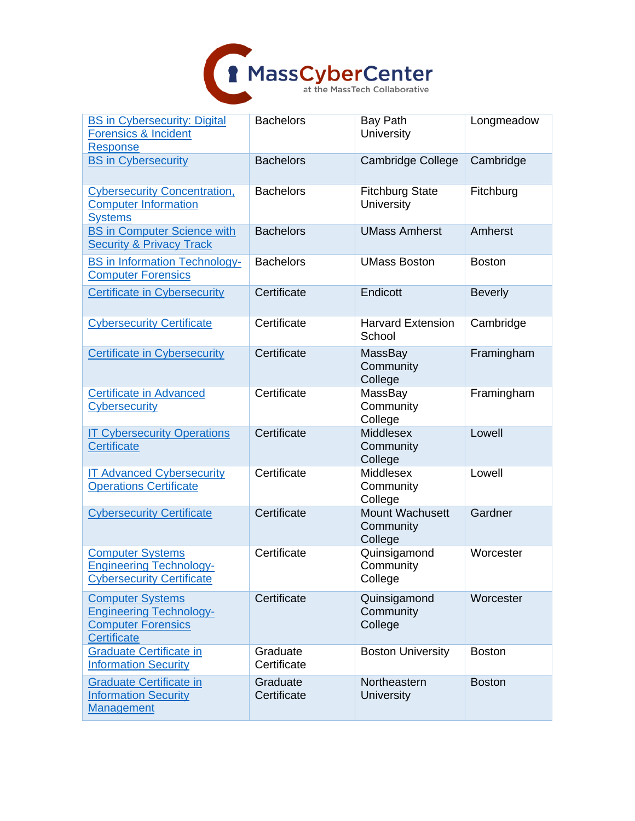

| <b>BS in Cybersecurity: Digital</b><br><b>Forensics &amp; Incident</b><br><b>Response</b>                    | <b>Bachelors</b>        | <b>Bay Path</b><br>University           | Longmeadow     |
|--------------------------------------------------------------------------------------------------------------|-------------------------|-----------------------------------------|----------------|
| <b>BS in Cybersecurity</b>                                                                                   | <b>Bachelors</b>        | <b>Cambridge College</b>                | Cambridge      |
| <b>Cybersecurity Concentration,</b><br><b>Computer Information</b><br><b>Systems</b>                         | <b>Bachelors</b>        | <b>Fitchburg State</b><br>University    | Fitchburg      |
| <b>BS in Computer Science with</b><br><b>Security &amp; Privacy Track</b>                                    | <b>Bachelors</b>        | <b>UMass Amherst</b>                    | Amherst        |
| <b>BS in Information Technology-</b><br><b>Computer Forensics</b>                                            | <b>Bachelors</b>        | <b>UMass Boston</b>                     | <b>Boston</b>  |
| <b>Certificate in Cybersecurity</b>                                                                          | Certificate             | Endicott                                | <b>Beverly</b> |
| <b>Cybersecurity Certificate</b>                                                                             | Certificate             | <b>Harvard Extension</b><br>School      | Cambridge      |
| <b>Certificate in Cybersecurity</b>                                                                          | Certificate             | MassBay<br>Community<br>College         | Framingham     |
| <b>Certificate in Advanced</b><br><b>Cybersecurity</b>                                                       | Certificate             | MassBay<br>Community<br>College         | Framingham     |
| <b>IT Cybersecurity Operations</b><br><b>Certificate</b>                                                     | Certificate             | Middlesex<br>Community<br>College       | Lowell         |
| <b>IT Advanced Cybersecurity</b><br><b>Operations Certificate</b>                                            | Certificate             | Middlesex<br>Community<br>College       | Lowell         |
| <b>Cybersecurity Certificate</b>                                                                             | Certificate             | Mount Wachusett<br>Community<br>College | Gardner        |
| <b>Computer Systems</b><br><b>Engineering Technology-</b><br><b>Cybersecurity Certificate</b>                | Certificate             | Quinsigamond<br>Community<br>College    | Worcester      |
| <b>Computer Systems</b><br><b>Engineering Technology-</b><br><b>Computer Forensics</b><br><b>Certificate</b> | Certificate             | Quinsigamond<br>Community<br>College    | Worcester      |
| <b>Graduate Certificate in</b><br><b>Information Security</b>                                                | Graduate<br>Certificate | <b>Boston University</b>                | <b>Boston</b>  |
| <b>Graduate Certificate in</b><br><b>Information Security</b><br><b>Management</b>                           | Graduate<br>Certificate | Northeastern<br><b>University</b>       | <b>Boston</b>  |